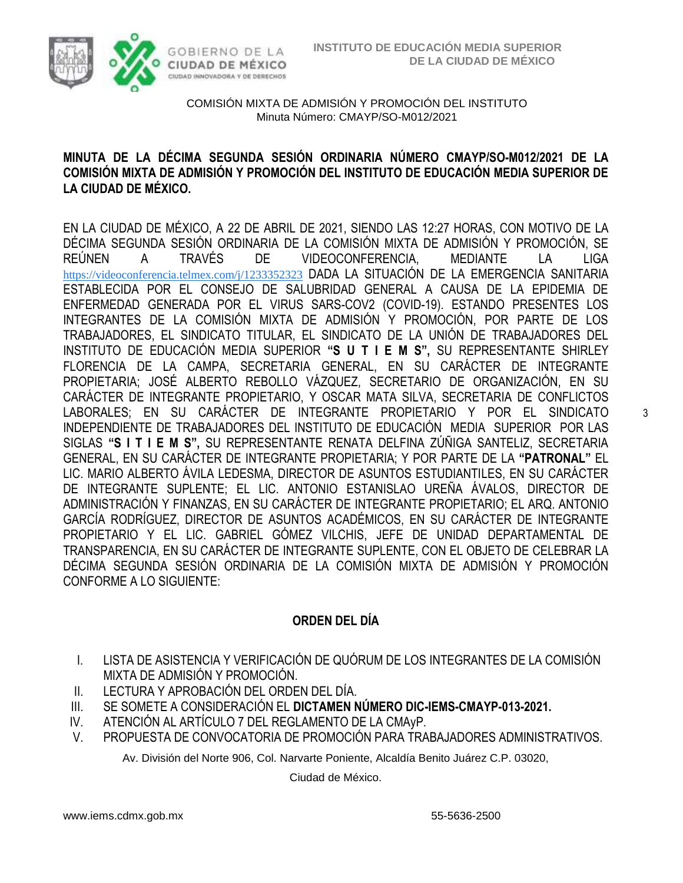

#### **MINUTA DE LA DÉCIMA SEGUNDA SESIÓN ORDINARIA NÚMERO CMAYP/SO-M012/2021 DE LA COMISIÓN MIXTA DE ADMISIÓN Y PROMOCIÓN DEL INSTITUTO DE EDUCACIÓN MEDIA SUPERIOR DE LA CIUDAD DE MÉXICO.**

EN LA CIUDAD DE MÉXICO, A 22 DE ABRIL DE 2021, SIENDO LAS 12:27 HORAS, CON MOTIVO DE LA DÉCIMA SEGUNDA SESIÓN ORDINARIA DE LA COMISIÓN MIXTA DE ADMISIÓN Y PROMOCIÓN, SE REÚNEN A TRAVÉS DE VIDEOCONFERENCIA, MEDIANTE LA LIGA [https://videoconferencia.telmex.com/j/1233352323](https://www.google.com/url?q=https://videoconferencia.telmex.com/j/1233352323&sa=D&source=calendar&ust=1619538295165000&usg=AOvVaw0Uoi2kVwQOdID9Td7EceSv) DADA LA SITUACIÓN DE LA EMERGENCIA SANITARIA ESTABLECIDA POR EL CONSEJO DE SALUBRIDAD GENERAL A CAUSA DE LA EPIDEMIA DE ENFERMEDAD GENERADA POR EL VIRUS SARS-COV2 (COVID-19). ESTANDO PRESENTES LOS INTEGRANTES DE LA COMISIÓN MIXTA DE ADMISIÓN Y PROMOCIÓN, POR PARTE DE LOS TRABAJADORES, EL SINDICATO TITULAR, EL SINDICATO DE LA UNIÓN DE TRABAJADORES DEL INSTITUTO DE EDUCACIÓN MEDIA SUPERIOR **"S U T I E M S",** SU REPRESENTANTE SHIRLEY FLORENCIA DE LA CAMPA, SECRETARIA GENERAL, EN SU CARÁCTER DE INTEGRANTE PROPIETARIA; JOSÉ ALBERTO REBOLLO VÁZQUEZ, SECRETARIO DE ORGANIZACIÓN, EN SU CARÁCTER DE INTEGRANTE PROPIETARIO, Y OSCAR MATA SILVA, SECRETARIA DE CONFLICTOS LABORALES; EN SU CARÁCTER DE INTEGRANTE PROPIETARIO Y POR EL SINDICATO INDEPENDIENTE DE TRABAJADORES DEL INSTITUTO DE EDUCACIÓN MEDIA SUPERIOR POR LAS SIGLAS **"S I T I E M S",** SU REPRESENTANTE RENATA DELFINA ZÚÑIGA SANTELIZ, SECRETARIA GENERAL, EN SU CARÁCTER DE INTEGRANTE PROPIETARIA; Y POR PARTE DE LA **"PATRONAL"** EL LIC. MARIO ALBERTO ÁVILA LEDESMA, DIRECTOR DE ASUNTOS ESTUDIANTILES, EN SU CARÁCTER DE INTEGRANTE SUPLENTE; EL LIC. ANTONIO ESTANISLAO UREÑA ÁVALOS, DIRECTOR DE ADMINISTRACIÓN Y FINANZAS, EN SU CARÁCTER DE INTEGRANTE PROPIETARIO; EL ARQ. ANTONIO GARCÍA RODRÍGUEZ, DIRECTOR DE ASUNTOS ACADÉMICOS, EN SU CARÁCTER DE INTEGRANTE PROPIETARIO Y EL LIC. GABRIEL GÓMEZ VILCHIS, JEFE DE UNIDAD DEPARTAMENTAL DE TRANSPARENCIA, EN SU CARÁCTER DE INTEGRANTE SUPLENTE, CON EL OBJETO DE CELEBRAR LA DÉCIMA SEGUNDA SESIÓN ORDINARIA DE LA COMISIÓN MIXTA DE ADMISIÓN Y PROMOCIÓN CONFORME A LO SIGUIENTE:

### **ORDEN DEL DÍA**

- I. LISTA DE ASISTENCIA Y VERIFICACIÓN DE QUÓRUM DE LOS INTEGRANTES DE LA COMISIÓN MIXTA DE ADMISIÓN Y PROMOCIÓN.
- II. LECTURA Y APROBACIÓN DEL ORDEN DEL DÍA.
- III. SE SOMETE A CONSIDERACIÓN EL **DICTAMEN NÚMERO DIC-IEMS-CMAYP-013-2021.**
- IV. ATENCIÓN AL ARTÍCULO 7 DEL REGLAMENTO DE LA CMAyP.
- V. PROPUESTA DE CONVOCATORIA DE PROMOCIÓN PARA TRABAJADORES ADMINISTRATIVOS.

Av. División del Norte 906, Col. Narvarte Poniente, Alcaldía Benito Juárez C.P. 03020,

Ciudad de México.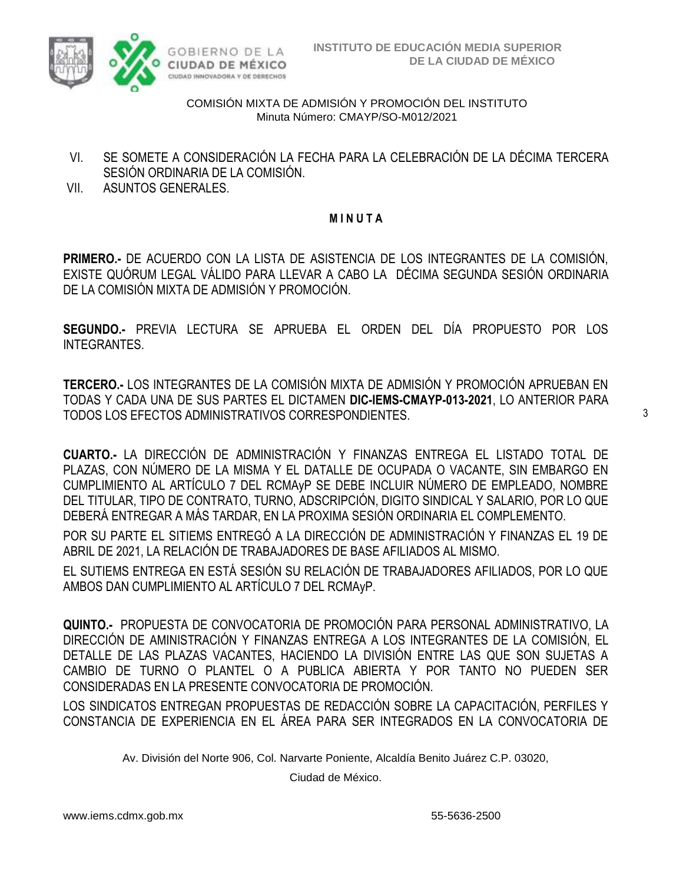

- VI. SE SOMETE A CONSIDERACIÓN LA FECHA PARA LA CELEBRACIÓN DE LA DÉCIMA TERCERA SESIÓN ORDINARIA DE LA COMISIÓN.
- VII. ASUNTOS GENERALES.

#### **M I N U T A**

**PRIMERO.-** DE ACUERDO CON LA LISTA DE ASISTENCIA DE LOS INTEGRANTES DE LA COMISIÓN, EXISTE QUÓRUM LEGAL VÁLIDO PARA LLEVAR A CABO LA DÉCIMA SEGUNDA SESIÓN ORDINARIA DE LA COMISIÓN MIXTA DE ADMISIÓN Y PROMOCIÓN.

**SEGUNDO.-** PREVIA LECTURA SE APRUEBA EL ORDEN DEL DÍA PROPUESTO POR LOS INTEGRANTES.

**TERCERO.-** LOS INTEGRANTES DE LA COMISIÓN MIXTA DE ADMISIÓN Y PROMOCIÓN APRUEBAN EN TODAS Y CADA UNA DE SUS PARTES EL DICTAMEN **DIC-IEMS-CMAYP-013-2021**, LO ANTERIOR PARA TODOS LOS EFECTOS ADMINISTRATIVOS CORRESPONDIENTES.

**CUARTO.-** LA DIRECCIÓN DE ADMINISTRACIÓN Y FINANZAS ENTREGA EL LISTADO TOTAL DE PLAZAS, CON NÚMERO DE LA MISMA Y EL DATALLE DE OCUPADA O VACANTE, SIN EMBARGO EN CUMPLIMIENTO AL ARTÍCULO 7 DEL RCMAyP SE DEBE INCLUIR NÚMERO DE EMPLEADO, NOMBRE DEL TITULAR, TIPO DE CONTRATO, TURNO, ADSCRIPCIÓN, DIGITO SINDICAL Y SALARIO, POR LO QUE DEBERÁ ENTREGAR A MÁS TARDAR, EN LA PROXIMA SESIÓN ORDINARIA EL COMPLEMENTO.

POR SU PARTE EL SITIEMS ENTREGÓ A LA DIRECCIÓN DE ADMINISTRACIÓN Y FINANZAS EL 19 DE ABRIL DE 2021, LA RELACIÓN DE TRABAJADORES DE BASE AFILIADOS AL MISMO.

EL SUTIEMS ENTREGA EN ESTÁ SESIÓN SU RELACIÓN DE TRABAJADORES AFILIADOS, POR LO QUE AMBOS DAN CUMPLIMIENTO AL ARTÍCULO 7 DEL RCMAyP.

**QUINTO.-** PROPUESTA DE CONVOCATORIA DE PROMOCIÓN PARA PERSONAL ADMINISTRATIVO, LA DIRECCIÓN DE AMINISTRACIÓN Y FINANZAS ENTREGA A LOS INTEGRANTES DE LA COMISIÓN, EL DETALLE DE LAS PLAZAS VACANTES, HACIENDO LA DIVISIÓN ENTRE LAS QUE SON SUJETAS A CAMBIO DE TURNO O PLANTEL O A PUBLICA ABIERTA Y POR TANTO NO PUEDEN SER CONSIDERADAS EN LA PRESENTE CONVOCATORIA DE PROMOCIÓN.

LOS SINDICATOS ENTREGAN PROPUESTAS DE REDACCIÓN SOBRE LA CAPACITACIÓN, PERFILES Y CONSTANCIA DE EXPERIENCIA EN EL ÁREA PARA SER INTEGRADOS EN LA CONVOCATORIA DE

Av. División del Norte 906, Col. Narvarte Poniente, Alcaldía Benito Juárez C.P. 03020,

Ciudad de México.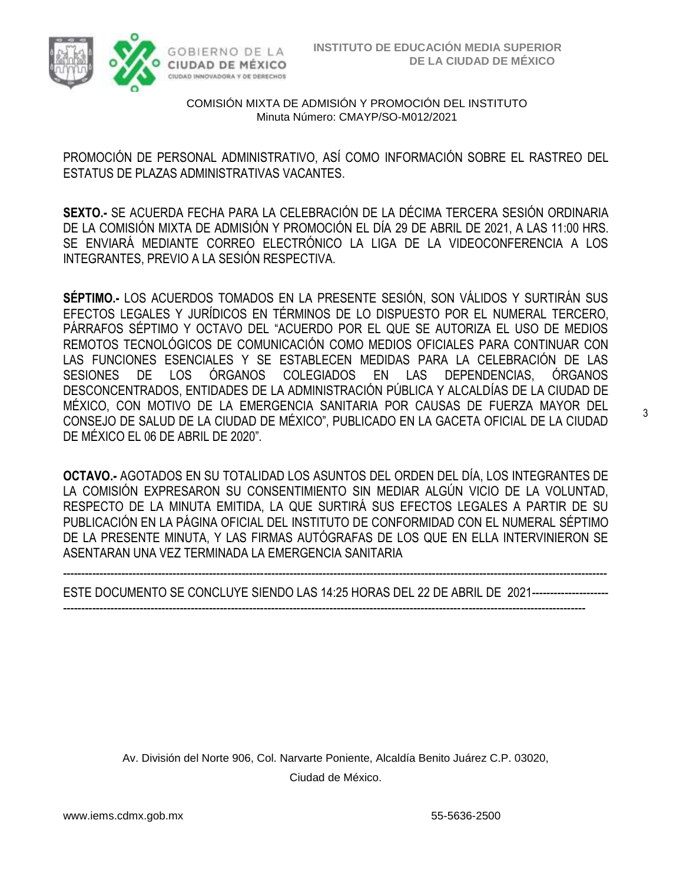

PROMOCIÓN DE PERSONAL ADMINISTRATIVO, ASÍ COMO INFORMACIÓN SOBRE EL RASTREO DEL ESTATUS DE PLAZAS ADMINISTRATIVAS VACANTES.

**SEXTO.-** SE ACUERDA FECHA PARA LA CELEBRACIÓN DE LA DÉCIMA TERCERA SESIÓN ORDINARIA DE LA COMISIÓN MIXTA DE ADMISIÓN Y PROMOCIÓN EL DÍA 29 DE ABRIL DE 2021, A LAS 11:00 HRS. SE ENVIARÁ MEDIANTE CORREO ELECTRÓNICO LA LIGA DE LA VIDEOCONFERENCIA A LOS INTEGRANTES, PREVIO A LA SESIÓN RESPECTIVA.

**SÉPTIMO.-** LOS ACUERDOS TOMADOS EN LA PRESENTE SESIÓN, SON VÁLIDOS Y SURTIRÁN SUS EFECTOS LEGALES Y JURÍDICOS EN TÉRMINOS DE LO DISPUESTO POR EL NUMERAL TERCERO, PÁRRAFOS SÉPTIMO Y OCTAVO DEL "ACUERDO POR EL QUE SE AUTORIZA EL USO DE MEDIOS REMOTOS TECNOLÓGICOS DE COMUNICACIÓN COMO MEDIOS OFICIALES PARA CONTINUAR CON LAS FUNCIONES ESENCIALES Y SE ESTABLECEN MEDIDAS PARA LA CELEBRACIÓN DE LAS SESIONES DE LOS ÓRGANOS COLEGIADOS EN LAS DEPENDENCIAS, ÓRGANOS DESCONCENTRADOS, ENTIDADES DE LA ADMINISTRACIÓN PÚBLICA Y ALCALDÍAS DE LA CIUDAD DE MÉXICO, CON MOTIVO DE LA EMERGENCIA SANITARIA POR CAUSAS DE FUERZA MAYOR DEL CONSEJO DE SALUD DE LA CIUDAD DE MÉXICO", PUBLICADO EN LA GACETA OFICIAL DE LA CIUDAD DE MÉXICO EL 06 DE ABRIL DE 2020".

**OCTAVO.-** AGOTADOS EN SU TOTALIDAD LOS ASUNTOS DEL ORDEN DEL DÍA, LOS INTEGRANTES DE LA COMISIÓN EXPRESARON SU CONSENTIMIENTO SIN MEDIAR ALGÚN VICIO DE LA VOLUNTAD, RESPECTO DE LA MINUTA EMITIDA, LA QUE SURTIRÁ SUS EFECTOS LEGALES A PARTIR DE SU PUBLICACIÓN EN LA PÁGINA OFICIAL DEL INSTITUTO DE CONFORMIDAD CON EL NUMERAL SÉPTIMO DE LA PRESENTE MINUTA, Y LAS FIRMAS AUTÓGRAFAS DE LOS QUE EN ELLA INTERVINIERON SE ASENTARAN UNA VEZ TERMINADA LA EMERGENCIA SANITARIA

----------------------------------------------------------------------------------------------------------------------------------------------------- ESTE DOCUMENTO SE CONCLUYE SIENDO LAS 14:25 HORAS DEL 22 DE ABRIL DE 2021---------------------

-----------------------------------------------------------------------------------------------------------------------------------------------

Av. División del Norte 906, Col. Narvarte Poniente, Alcaldía Benito Juárez C.P. 03020, Ciudad de México.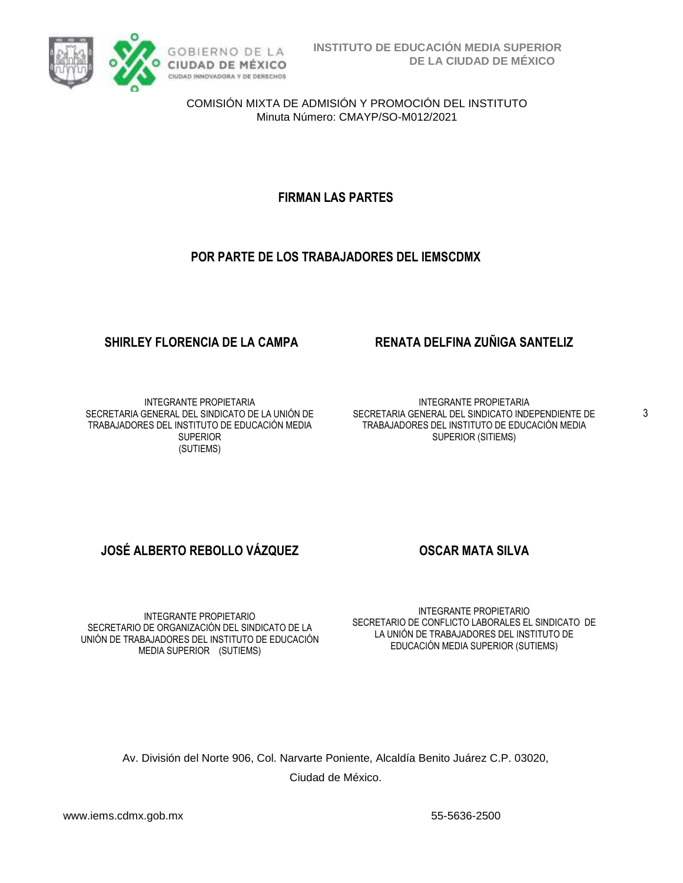

### **FIRMAN LAS PARTES**

#### **POR PARTE DE LOS TRABAJADORES DEL IEMSCDMX**

#### **SHIRLEY FLORENCIA DE LA CAMPA RENATA DELFINA ZUÑIGA SANTELIZ**

INTEGRANTE PROPIETARIA SECRETARIA GENERAL DEL SINDICATO DE LA UNIÓN DE TRABAJADORES DEL INSTITUTO DE EDUCACIÓN MEDIA SUPERIOR (SUTIEMS)

INTEGRANTE PROPIETARIA SECRETARIA GENERAL DEL SINDICATO INDEPENDIENTE DE TRABAJADORES DEL INSTITUTO DE EDUCACIÓN MEDIA SUPERIOR (SITIEMS)

### **JOSÉ ALBERTO REBOLLO VÁZQUEZ OSCAR MATA SILVA**

INTEGRANTE PROPIETARIO SECRETARIO DE ORGANIZACIÓN DEL SINDICATO DE LA UNIÓN DE TRABAJADORES DEL INSTITUTO DE EDUCACIÓN MEDIA SUPERIOR (SUTIEMS)

INTEGRANTE PROPIETARIO SECRETARIO DE CONFLICTO LABORALES EL SINDICATO DE LA UNIÓN DE TRABAJADORES DEL INSTITUTO DE EDUCACIÓN MEDIA SUPERIOR (SUTIEMS)

Av. División del Norte 906, Col. Narvarte Poniente, Alcaldía Benito Juárez C.P. 03020, Ciudad de México.